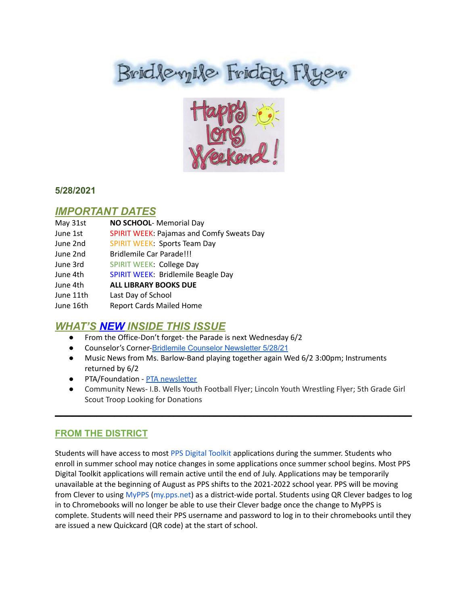# Brid levyile Friday Flyer



### **5/28/2021**

## *IMPORTANT DATES*

| May 31st  | NO SCHOOL- Memorial Day                          |
|-----------|--------------------------------------------------|
| June 1st  | <b>SPIRIT WEEK: Pajamas and Comfy Sweats Day</b> |
| June 2nd  | <b>SPIRIT WEEK: Sports Team Day</b>              |
| June 2nd  | Bridlemile Car Parade!!!                         |
| June 3rd  | <b>SPIRIT WEEK: College Day</b>                  |
| June 4th  | <b>SPIRIT WEEK: Bridlemile Beagle Day</b>        |
| June 4th  | <b>ALL LIBRARY BOOKS DUE</b>                     |
| June 11th | Last Day of School                               |
| June 16th | <b>Report Cards Mailed Home</b>                  |

# *WHAT'S NEW INSIDE THIS ISSUE*

- From the Office-Don't forget- the Parade is next Wednesday 6/2
- Counselor's Corner-Bridlemile Counselor [Newsletter](https://www.smore.com/s0jte) 5/28/21
- Music News from Ms. Barlow-Band playing together again Wed 6/2 3:00pm; Instruments returned by 6/2
- PTA/Foundation PTA [newsletter](https://docs.google.com/document/d/e/2PACX-1vQlZCPHtKxqO7qpJwiwgoeaZ1ERHVLgg6z0JNYJMTulwn7xlOVY_X2I1ZV9nntsGHP57LEZ_uSufaFj/pub)
- Community News- I.B. Wells Youth Football Flyer; Lincoln Youth Wrestling Flyer; 5th Grade Girl Scout Troop Looking for Donations

 $\mathcal{L}_\text{max}$  and  $\mathcal{L}_\text{max}$  and  $\mathcal{L}_\text{max}$  and  $\mathcal{L}_\text{max}$  and  $\mathcal{L}_\text{max}$  and  $\mathcal{L}_\text{max}$ 

## **FROM THE DISTRICT**

Students will have access to most PPS Digital [Toolkit](https://www.pps.net/Page/14826) applications during the summer. Students who enroll in summer school may notice changes in some applications once summer school begins. Most PPS Digital Toolkit applications will remain active until the end of July. Applications may be temporarily unavailable at the beginning of August as PPS shifts to the 2021-2022 school year. PPS will be moving from Clever to using [MyPPS](https://launchpad.classlink.com/ppsor) [\(my.pps.net](http://my.pps.net/)) as a district-wide portal. Students using QR Clever badges to log in to Chromebooks will no longer be able to use their Clever badge once the change to MyPPS is complete. Students will need their PPS username and password to log in to their chromebooks until they are issued a new Quickcard (QR code) at the start of school.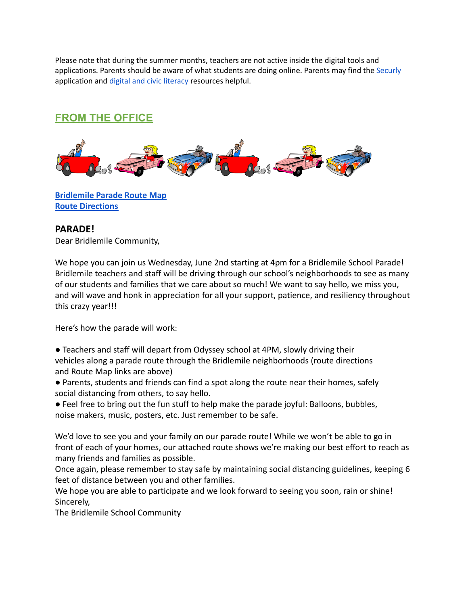Please note that during the summer months, teachers are not active inside the digital tools and applications. Parents should be aware of what students are doing online. Parents may find the [Securly](https://www.pps.net/securly) application and digital and civic [literacy](https://www.pps.net/Page/17389) resources helpful.

# **FROM THE OFFICE**



**[Bridlemile Parade Route Map](https://drive.google.com/file/d/1H4lVNlyZqMqlFaEbE5bgbDHJhOr6fFru/view?usp=sharing) [Route Directions](https://drive.google.com/file/d/1W2-kF3udpqsKxPcdMipSV207CpeXzm9w/view?usp=sharing)**

#### **PARADE!**

Dear Bridlemile Community,

We hope you can join us Wednesday, June 2nd starting at 4pm for a Bridlemile School Parade! Bridlemile teachers and staff will be driving through our school's neighborhoods to see as many of our students and families that we care about so much! We want to say hello, we miss you, and will wave and honk in appreciation for all your support, patience, and resiliency throughout this crazy year!!!

Here's how the parade will work:

- Teachers and staff will depart from Odyssey school at 4PM, slowly driving their vehicles along a parade route through the Bridlemile neighborhoods (route directions and Route Map links are above)
- Parents, students and friends can find a spot along the route near their homes, safely social distancing from others, to say hello.
- Feel free to bring out the fun stuff to help make the parade joyful: Balloons, bubbles, noise makers, music, posters, etc. Just remember to be safe.

We'd love to see you and your family on our parade route! While we won't be able to go in front of each of your homes, our attached route shows we're making our best effort to reach as many friends and families as possible.

Once again, please remember to stay safe by maintaining social distancing guidelines, keeping 6 feet of distance between you and other families.

We hope you are able to participate and we look forward to seeing you soon, rain or shine! Sincerely,

The Bridlemile School Community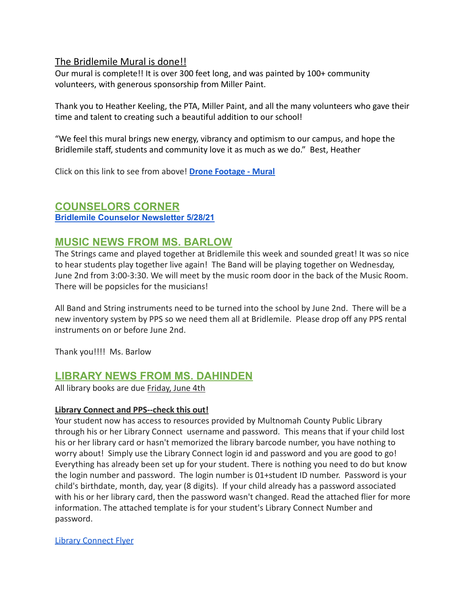### The Bridlemile Mural is done!!

Our mural is complete!! It is over 300 feet long, and was painted by 100+ community volunteers, with generous sponsorship from Miller Paint.

Thank you to Heather Keeling, the PTA, Miller Paint, and all the many volunteers who gave their time and talent to creating such a beautiful addition to our school!

"We feel this mural brings new energy, vibrancy and optimism to our campus, and hope the Bridlemile staff, students and community love it as much as we do." Best, Heather

Click on this link to see from above! **[Drone Footage](https://drive.google.com/file/d/1Hu5h3GyeuVTCJzowFpmXgKfUmkfX9J4n/view?usp=sharing) - Mural**

## **COUNSELORS CORNER**

**Bridlemile Counselor [Newsletter](https://www.smore.com/s0jte) 5/28/21**

# **MUSIC NEWS FROM MS. BARLOW**

The Strings came and played together at Bridlemile this week and sounded great! It was so nice to hear students play together live again! The Band will be playing together on Wednesday, June 2nd from 3:00-3:30. We will meet by the music room door in the back of the Music Room. There will be popsicles for the musicians!

All Band and String instruments need to be turned into the school by June 2nd. There will be a new inventory system by PPS so we need them all at Bridlemile. Please drop off any PPS rental instruments on or before June 2nd.

Thank you!!!! Ms. Barlow

# **LIBRARY NEWS FROM MS. DAHINDEN**

All library books are due Friday, June 4th

#### **Library Connect and PPS--check this out!**

Your student now has access to resources provided by Multnomah County Public Library through his or her Library Connect username and password. This means that if your child lost his or her library card or hasn't memorized the library barcode number, you have nothing to worry about! Simply use the Library Connect login id and password and you are good to go! Everything has already been set up for your student. There is nothing you need to do but know the login number and password. The login number is 01+student ID number. Password is your child's birthdate, month, day, year (8 digits). If your child already has a password associated with his or her library card, then the password wasn't changed. Read the attached flier for more information. The attached template is for your student's Library Connect Number and password.

[Library Connect Flyer](https://drive.google.com/file/d/1py4hcGFCUn5SVXxeZvlLAm-2wOLQvhoS/view?usp=sharing)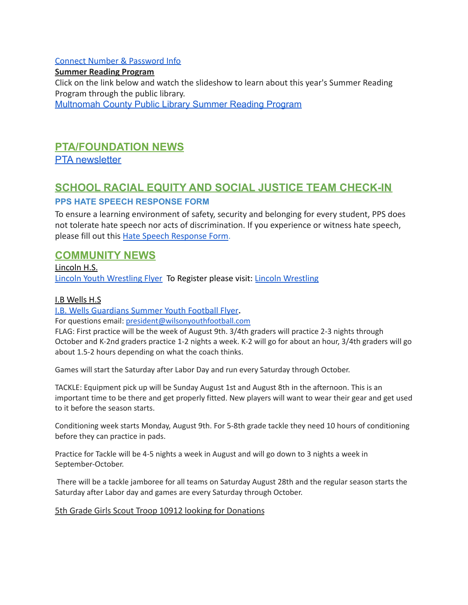#### [Connect Number & Password Info](https://drive.google.com/file/d/1tAIx8uI3xJ577ZiTyOromBz88sBsMXmh/view?usp=sharing)

**Summer Reading Program** Click on the link below and watch the slideshow to learn about this year's Summer Reading Program through the public library. [Multnomah County Public Library Summer Reading Program](https://docs.google.com/presentation/d/e/2PACX-1vRL4wSVv7q2V1klOCYLpPtjWNHl4dxd9sHgD--sMl2ni7jQOINglCngW0EwNWYLoM5oRcBjg-pu0o3b/pub?start=true&loop=false&delayms=5000)

# **PTA/FOUNDATION NEWS**

PTA [newsletter](https://docs.google.com/document/d/e/2PACX-1vQlZCPHtKxqO7qpJwiwgoeaZ1ERHVLgg6z0JNYJMTulwn7xlOVY_X2I1ZV9nntsGHP57LEZ_uSufaFj/pub)

# **SCHOOL RACIAL EQUITY AND SOCIAL JUSTICE TEAM CHECK-IN**

### **PPS HATE SPEECH RESPONSE FORM**

To ensure a learning environment of safety, security and belonging for every student, PPS does not tolerate hate speech nor acts of discrimination. If you experience or witness hate speech, please fill out this [Hate Speech Response Form.](https://docs.google.com/forms/d/e/1FAIpQLScBgOKMOV-xv4yfPk9DnciUMqkQ7E_Us3JaXcTf_lUIUmWnoA/viewform)

# **COMMUNITY NEWS**

Lincoln H.S. [Lincoln Youth Wrestling Flyer](https://drive.google.com/file/d/1453bpcVaos8KTt4sMOW58bvHeWZXdIjx/view?usp=sharing) To Register please visit: [Lincoln Wrestling](https://www.lincolnathletics.com/page/show/2215835-wrestling)

#### I.B Wells H.S

[I.B. Wells Guardians Summer Youth Football Flyer](https://drive.google.com/file/d/1UFRcY-WFnyfci1LuYNIbXDWIKEnKbpKn/view?usp=sharing)**.**

For questions email: [president@wilsonyouthfootball.com](mailto:president@wilsonyouthfootball.com)

FLAG: First practice will be the week of August 9th. 3/4th graders will practice 2-3 nights through October and K-2nd graders practice 1-2 nights a week. K-2 will go for about an hour, 3/4th graders will go about 1.5-2 hours depending on what the coach thinks.

Games will start the Saturday after Labor Day and run every Saturday through October.

TACKLE: Equipment pick up will be Sunday August 1st and August 8th in the afternoon. This is an important time to be there and get properly fitted. New players will want to wear their gear and get used to it before the season starts.

Conditioning week starts Monday, August 9th. For 5-8th grade tackle they need 10 hours of conditioning before they can practice in pads.

Practice for Tackle will be 4-5 nights a week in August and will go down to 3 nights a week in September-October.

There will be a tackle jamboree for all teams on Saturday August 28th and the regular season starts the Saturday after Labor day and games are every Saturday through October.

#### 5th Grade Girls Scout Troop 10912 looking for Donations